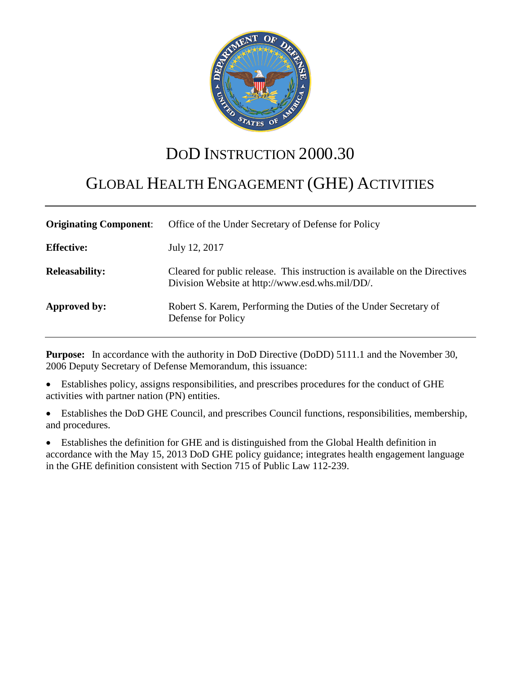

# DOD INSTRUCTION 2000.30

# GLOBAL HEALTH ENGAGEMENT (GHE) ACTIVITIES

| <b>Originating Component:</b> | Office of the Under Secretary of Defense for Policy                                                                            |
|-------------------------------|--------------------------------------------------------------------------------------------------------------------------------|
| <b>Effective:</b>             | July 12, 2017                                                                                                                  |
| <b>Releasability:</b>         | Cleared for public release. This instruction is available on the Directives<br>Division Website at http://www.esd.whs.mil/DD/. |
| Approved by:                  | Robert S. Karem, Performing the Duties of the Under Secretary of<br>Defense for Policy                                         |

**Purpose:** In accordance with the authority in DoD Directive (DoDD) 5111.1 and the November 30, 2006 Deputy Secretary of Defense Memorandum, this issuance:

- Establishes policy, assigns responsibilities, and prescribes procedures for the conduct of GHE activities with partner nation (PN) entities.
- Establishes the DoD GHE Council, and prescribes Council functions, responsibilities, membership, and procedures.

• Establishes the definition for GHE and is distinguished from the Global Health definition in accordance with the May 15, 2013 DoD GHE policy guidance; integrates health engagement language in the GHE definition consistent with Section 715 of Public Law 112-239.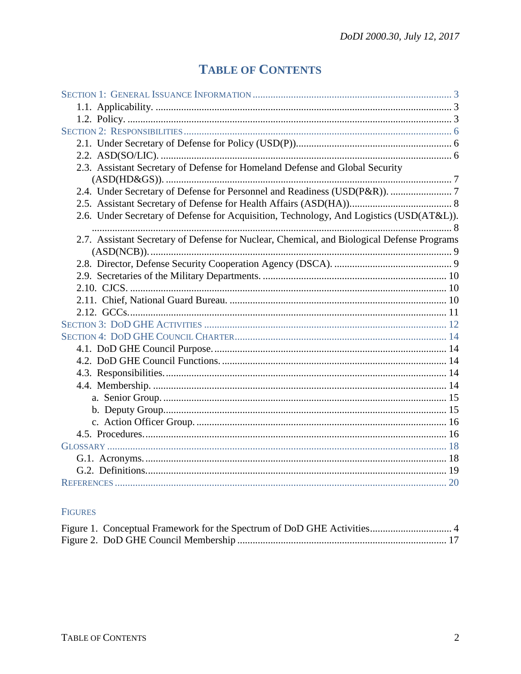# **TABLE OF CONTENTS**

| 2.3. Assistant Secretary of Defense for Homeland Defense and Global Security               |  |
|--------------------------------------------------------------------------------------------|--|
|                                                                                            |  |
| 2.4. Under Secretary of Defense for Personnel and Readiness (USD(P&R)).  7                 |  |
|                                                                                            |  |
| 2.6. Under Secretary of Defense for Acquisition, Technology, And Logistics (USD(AT&L)).    |  |
|                                                                                            |  |
| 2.7. Assistant Secretary of Defense for Nuclear, Chemical, and Biological Defense Programs |  |
|                                                                                            |  |
|                                                                                            |  |
|                                                                                            |  |
|                                                                                            |  |
|                                                                                            |  |
|                                                                                            |  |
|                                                                                            |  |
|                                                                                            |  |
|                                                                                            |  |
|                                                                                            |  |
|                                                                                            |  |
|                                                                                            |  |
|                                                                                            |  |
|                                                                                            |  |
|                                                                                            |  |
|                                                                                            |  |
|                                                                                            |  |
|                                                                                            |  |
|                                                                                            |  |
|                                                                                            |  |

## **FIGURES**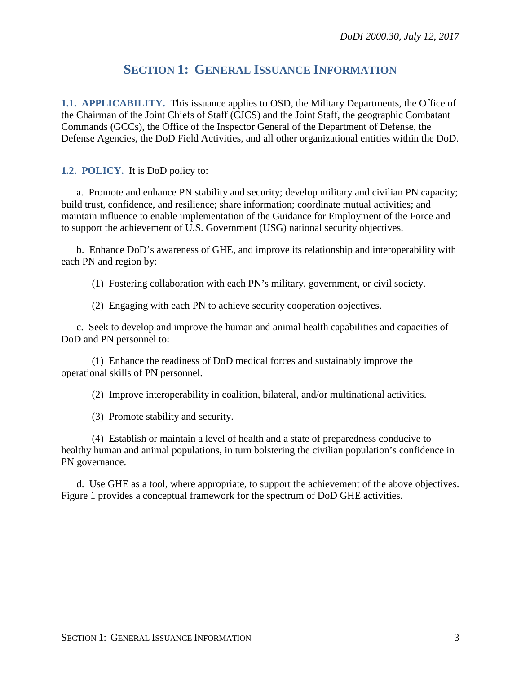## **SECTION 1: GENERAL ISSUANCE INFORMATION**

<span id="page-2-1"></span><span id="page-2-0"></span>**1.1. APPLICABILITY.** This issuance applies to OSD, the Military Departments, the Office of the Chairman of the Joint Chiefs of Staff (CJCS) and the Joint Staff, the geographic Combatant Commands (GCCs), the Office of the Inspector General of the Department of Defense, the Defense Agencies, the DoD Field Activities, and all other organizational entities within the DoD.

#### <span id="page-2-2"></span>**1.2. POLICY.** It is DoD policy to:

a. Promote and enhance PN stability and security; develop military and civilian PN capacity; build trust, confidence, and resilience; share information; coordinate mutual activities; and maintain influence to enable implementation of the Guidance for Employment of the Force and to support the achievement of U.S. Government (USG) national security objectives.

b. Enhance DoD's awareness of GHE, and improve its relationship and interoperability with each PN and region by:

(1) Fostering collaboration with each PN's military, government, or civil society.

(2) Engaging with each PN to achieve security cooperation objectives.

c. Seek to develop and improve the human and animal health capabilities and capacities of DoD and PN personnel to:

(1) Enhance the readiness of DoD medical forces and sustainably improve the operational skills of PN personnel.

(2) Improve interoperability in coalition, bilateral, and/or multinational activities.

(3) Promote stability and security.

(4) Establish or maintain a level of health and a state of preparedness conducive to healthy human and animal populations, in turn bolstering the civilian population's confidence in PN governance.

d. Use GHE as a tool, where appropriate, to support the achievement of the above objectives. Figure 1 provides a conceptual framework for the spectrum of DoD GHE activities.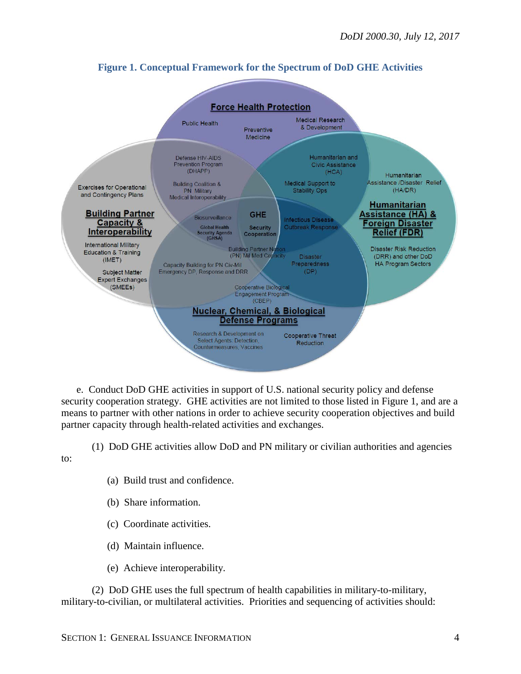

### **Figure 1. Conceptual Framework for the Spectrum of DoD GHE Activities**

e. Conduct DoD GHE activities in support of U.S. national security policy and defense security cooperation strategy. GHE activities are not limited to those listed in Figure 1, and are a means to partner with other nations in order to achieve security cooperation objectives and build partner capacity through health-related activities and exchanges.

(1) DoD GHE activities allow DoD and PN military or civilian authorities and agencies

to:

- (a) Build trust and confidence.
- (b) Share information.
- (c) Coordinate activities.
- (d) Maintain influence.
- (e) Achieve interoperability.

(2) DoD GHE uses the full spectrum of health capabilities in military-to-military, military-to-civilian, or multilateral activities. Priorities and sequencing of activities should: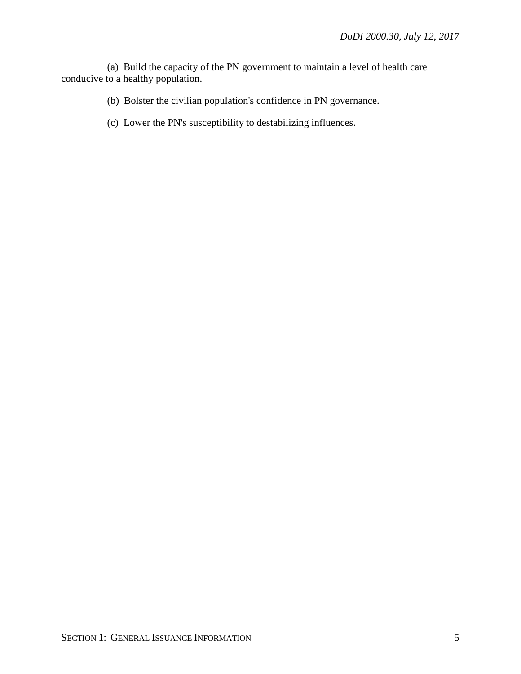(a) Build the capacity of the PN government to maintain a level of health care conducive to a healthy population.

- (b) Bolster the civilian population's confidence in PN governance.
- (c) Lower the PN's susceptibility to destabilizing influences.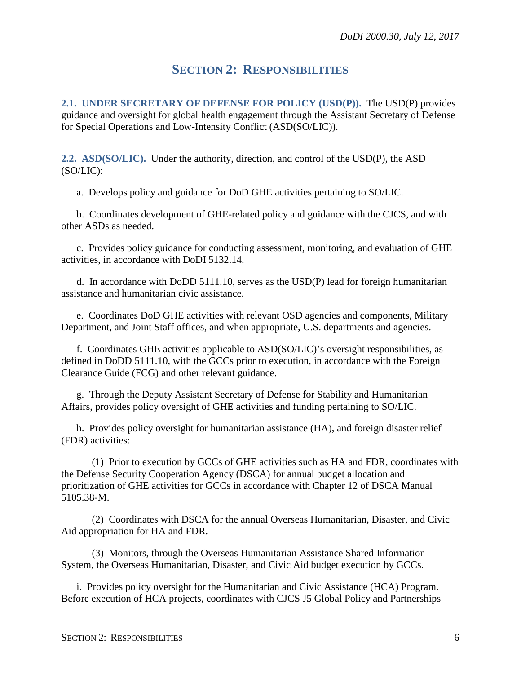## **SECTION 2: RESPONSIBILITIES**

<span id="page-5-1"></span><span id="page-5-0"></span>**2.1. UNDER SECRETARY OF DEFENSE FOR POLICY (USD(P)).** The USD(P) provides guidance and oversight for global health engagement through the Assistant Secretary of Defense for Special Operations and Low-Intensity Conflict (ASD(SO/LIC)).

<span id="page-5-2"></span>**2.2. ASD(SO/LIC).** Under the authority, direction, and control of the USD(P), the ASD (SO/LIC):

a. Develops policy and guidance for DoD GHE activities pertaining to SO/LIC.

b. Coordinates development of GHE-related policy and guidance with the CJCS, and with other ASDs as needed.

c. Provides policy guidance for conducting assessment, monitoring, and evaluation of GHE activities, in accordance with DoDI 5132.14.

d. In accordance with DoDD 5111.10, serves as the USD(P) lead for foreign humanitarian assistance and humanitarian civic assistance.

e. Coordinates DoD GHE activities with relevant OSD agencies and components, Military Department, and Joint Staff offices, and when appropriate, U.S. departments and agencies.

f. Coordinates GHE activities applicable to ASD(SO/LIC)'s oversight responsibilities, as defined in DoDD 5111.10, with the GCCs prior to execution, in accordance with the Foreign Clearance Guide (FCG) and other relevant guidance.

g. Through the Deputy Assistant Secretary of Defense for Stability and Humanitarian Affairs, provides policy oversight of GHE activities and funding pertaining to SO/LIC.

h. Provides policy oversight for humanitarian assistance (HA), and foreign disaster relief (FDR) activities:

(1) Prior to execution by GCCs of GHE activities such as HA and FDR, coordinates with the Defense Security Cooperation Agency (DSCA) for annual budget allocation and prioritization of GHE activities for GCCs in accordance with Chapter 12 of DSCA Manual 5105.38-M.

(2) Coordinates with DSCA for the annual Overseas Humanitarian, Disaster, and Civic Aid appropriation for HA and FDR.

(3) Monitors, through the Overseas Humanitarian Assistance Shared Information System, the Overseas Humanitarian, Disaster, and Civic Aid budget execution by GCCs.

i. Provides policy oversight for the Humanitarian and Civic Assistance (HCA) Program. Before execution of HCA projects, coordinates with CJCS J5 Global Policy and Partnerships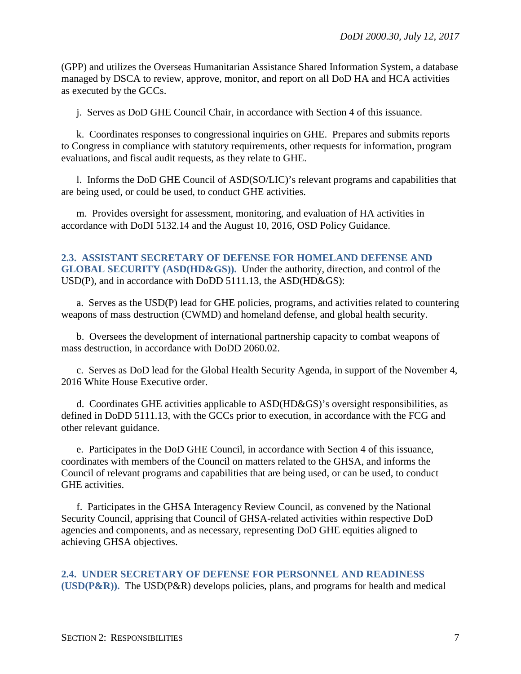(GPP) and utilizes the Overseas Humanitarian Assistance Shared Information System, a database managed by DSCA to review, approve, monitor, and report on all DoD HA and HCA activities as executed by the GCCs.

j. Serves as DoD GHE Council Chair, in accordance with Section 4 of this issuance.

k. Coordinates responses to congressional inquiries on GHE. Prepares and submits reports to Congress in compliance with statutory requirements, other requests for information, program evaluations, and fiscal audit requests, as they relate to GHE.

l. Informs the DoD GHE Council of ASD(SO/LIC)'s relevant programs and capabilities that are being used, or could be used, to conduct GHE activities.

m. Provides oversight for assessment, monitoring, and evaluation of HA activities in accordance with DoDI 5132.14 and the August 10, 2016, OSD Policy Guidance.

#### <span id="page-6-0"></span>**2.3. ASSISTANT SECRETARY OF DEFENSE FOR HOMELAND DEFENSE AND GLOBAL SECURITY (ASD(HD&GS)).** Under the authority, direction, and control of the USD(P), and in accordance with DoDD 5111.13, the ASD(HD&GS):

a. Serves as the USD(P) lead for GHE policies, programs, and activities related to countering weapons of mass destruction (CWMD) and homeland defense, and global health security.

b. Oversees the development of international partnership capacity to combat weapons of mass destruction, in accordance with DoDD 2060.02.

c. Serves as DoD lead for the Global Health Security Agenda, in support of the November 4, 2016 White House Executive order.

d. Coordinates GHE activities applicable to ASD(HD&GS)'s oversight responsibilities, as defined in DoDD 5111.13, with the GCCs prior to execution, in accordance with the FCG and other relevant guidance.

e. Participates in the DoD GHE Council, in accordance with Section 4 of this issuance, coordinates with members of the Council on matters related to the GHSA, and informs the Council of relevant programs and capabilities that are being used, or can be used, to conduct GHE activities.

f. Participates in the GHSA Interagency Review Council, as convened by the National Security Council, apprising that Council of GHSA-related activities within respective DoD agencies and components, and as necessary, representing DoD GHE equities aligned to achieving GHSA objectives.

<span id="page-6-1"></span>**2.4. UNDER SECRETARY OF DEFENSE FOR PERSONNEL AND READINESS (USD(P&R)).** The USD(P&R) develops policies, plans, and programs for health and medical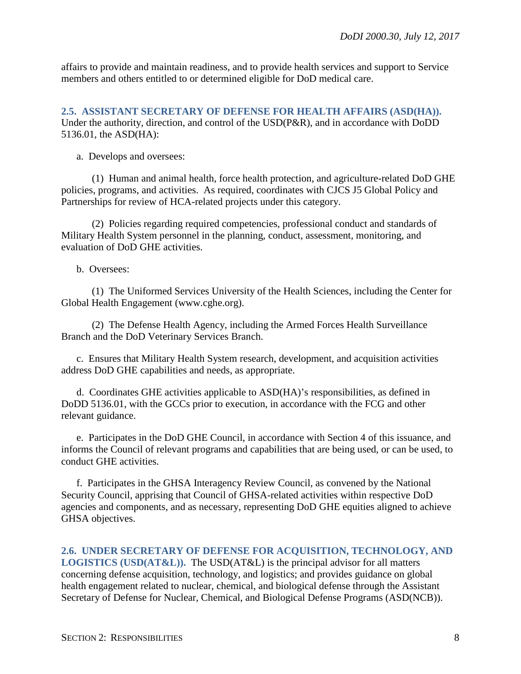affairs to provide and maintain readiness, and to provide health services and support to Service members and others entitled to or determined eligible for DoD medical care.

<span id="page-7-0"></span>**2.5. ASSISTANT SECRETARY OF DEFENSE FOR HEALTH AFFAIRS (ASD(HA)).** Under the authority, direction, and control of the USD(P&R), and in accordance with DoDD 5136.01, the ASD(HA):

a. Develops and oversees:

(1) Human and animal health, force health protection, and agriculture-related DoD GHE policies, programs, and activities. As required, coordinates with CJCS J5 Global Policy and Partnerships for review of HCA-related projects under this category.

(2) Policies regarding required competencies, professional conduct and standards of Military Health System personnel in the planning, conduct, assessment, monitoring, and evaluation of DoD GHE activities.

b. Oversees:

(1) The Uniformed Services University of the Health Sciences, including the Center for Global Health Engagement (www.cghe.org).

(2) The Defense Health Agency, including the Armed Forces Health Surveillance Branch and the DoD Veterinary Services Branch.

c. Ensures that Military Health System research, development, and acquisition activities address DoD GHE capabilities and needs, as appropriate.

d. Coordinates GHE activities applicable to ASD(HA)'s responsibilities, as defined in DoDD 5136.01, with the GCCs prior to execution, in accordance with the FCG and other relevant guidance.

e. Participates in the DoD GHE Council, in accordance with Section 4 of this issuance, and informs the Council of relevant programs and capabilities that are being used, or can be used, to conduct GHE activities.

f. Participates in the GHSA Interagency Review Council, as convened by the National Security Council, apprising that Council of GHSA-related activities within respective DoD agencies and components, and as necessary, representing DoD GHE equities aligned to achieve GHSA objectives.

<span id="page-7-1"></span>**2.6. UNDER SECRETARY OF DEFENSE FOR ACQUISITION, TECHNOLOGY, AND LOGISTICS (USD(AT&L)).** The USD(AT&L) is the principal advisor for all matters concerning defense acquisition, technology, and logistics; and provides guidance on global health engagement related to nuclear, chemical, and biological defense through the Assistant Secretary of Defense for Nuclear, Chemical, and Biological Defense Programs (ASD(NCB)).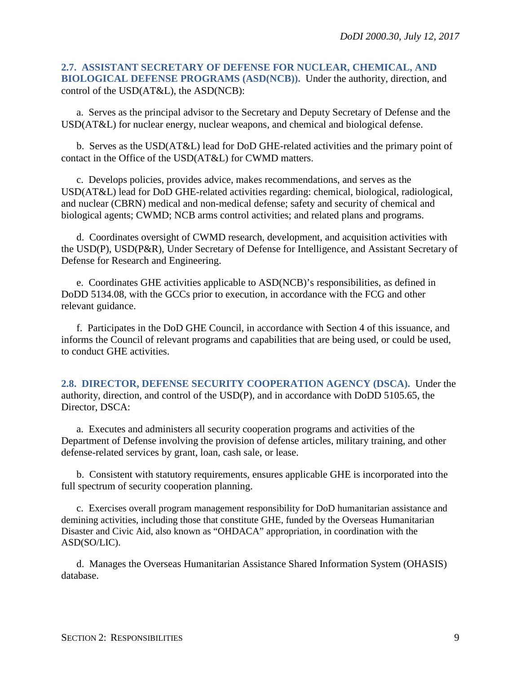#### <span id="page-8-0"></span>**2.7. ASSISTANT SECRETARY OF DEFENSE FOR NUCLEAR, CHEMICAL, AND BIOLOGICAL DEFENSE PROGRAMS (ASD(NCB)).** Under the authority, direction, and control of the USD(AT&L), the ASD(NCB):

a. Serves as the principal advisor to the Secretary and Deputy Secretary of Defense and the USD(AT&L) for nuclear energy, nuclear weapons, and chemical and biological defense.

b. Serves as the USD(AT&L) lead for DoD GHE-related activities and the primary point of contact in the Office of the USD(AT&L) for CWMD matters.

c. Develops policies, provides advice, makes recommendations, and serves as the USD(AT&L) lead for DoD GHE-related activities regarding: chemical, biological, radiological, and nuclear (CBRN) medical and non-medical defense; safety and security of chemical and biological agents; CWMD; NCB arms control activities; and related plans and programs.

d. Coordinates oversight of CWMD research, development, and acquisition activities with the USD(P), USD(P&R), Under Secretary of Defense for Intelligence, and Assistant Secretary of Defense for Research and Engineering.

e. Coordinates GHE activities applicable to ASD(NCB)'s responsibilities, as defined in DoDD 5134.08, with the GCCs prior to execution, in accordance with the FCG and other relevant guidance.

f. Participates in the DoD GHE Council, in accordance with Section 4 of this issuance, and informs the Council of relevant programs and capabilities that are being used, or could be used, to conduct GHE activities.

<span id="page-8-1"></span>**2.8. DIRECTOR, DEFENSE SECURITY COOPERATION AGENCY (DSCA).** Under the authority, direction, and control of the USD(P), and in accordance with DoDD 5105.65, the Director, DSCA:

a. Executes and administers all security cooperation programs and activities of the Department of Defense involving the provision of defense articles, military training, and other defense-related services by grant, loan, cash sale, or lease.

b. Consistent with statutory requirements, ensures applicable GHE is incorporated into the full spectrum of security cooperation planning.

c. Exercises overall program management responsibility for DoD humanitarian assistance and demining activities, including those that constitute GHE, funded by the Overseas Humanitarian Disaster and Civic Aid, also known as "OHDACA" appropriation, in coordination with the ASD(SO/LIC).

d. Manages the Overseas Humanitarian Assistance Shared Information System (OHASIS) database.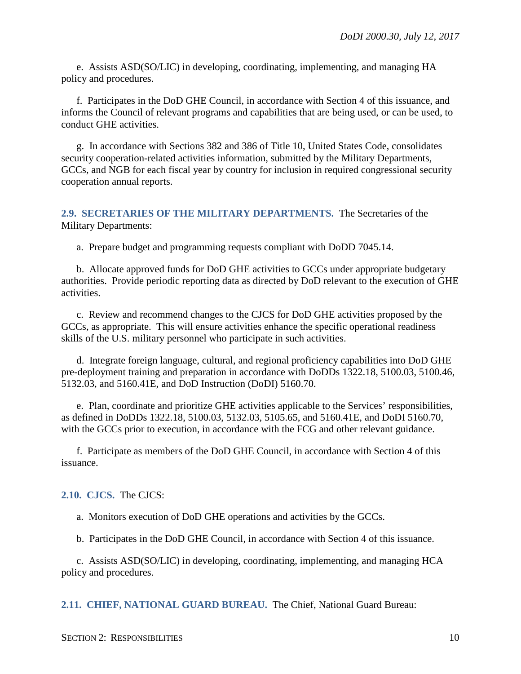e. Assists ASD(SO/LIC) in developing, coordinating, implementing, and managing HA policy and procedures.

f. Participates in the DoD GHE Council, in accordance with Section 4 of this issuance, and informs the Council of relevant programs and capabilities that are being used, or can be used, to conduct GHE activities.

g. In accordance with Sections 382 and 386 of Title 10, United States Code, consolidates security cooperation-related activities information, submitted by the Military Departments, GCCs, and NGB for each fiscal year by country for inclusion in required congressional security cooperation annual reports.

<span id="page-9-0"></span>**2.9. SECRETARIES OF THE MILITARY DEPARTMENTS.** The Secretaries of the Military Departments:

a. Prepare budget and programming requests compliant with DoDD 7045.14.

b. Allocate approved funds for DoD GHE activities to GCCs under appropriate budgetary authorities. Provide periodic reporting data as directed by DoD relevant to the execution of GHE activities.

c. Review and recommend changes to the CJCS for DoD GHE activities proposed by the GCCs, as appropriate. This will ensure activities enhance the specific operational readiness skills of the U.S. military personnel who participate in such activities.

d. Integrate foreign language, cultural, and regional proficiency capabilities into DoD GHE pre-deployment training and preparation in accordance with DoDDs 1322.18, 5100.03, 5100.46, 5132.03, and 5160.41E, and DoD Instruction (DoDI) 5160.70.

e. Plan, coordinate and prioritize GHE activities applicable to the Services' responsibilities, as defined in DoDDs 1322.18, 5100.03, 5132.03, 5105.65, and 5160.41E, and DoDI 5160.70, with the GCCs prior to execution, in accordance with the FCG and other relevant guidance.

f. Participate as members of the DoD GHE Council, in accordance with Section 4 of this issuance.

#### <span id="page-9-1"></span>**2.10. CJCS.** The CJCS:

a. Monitors execution of DoD GHE operations and activities by the GCCs.

b. Participates in the DoD GHE Council, in accordance with Section 4 of this issuance.

c. Assists ASD(SO/LIC) in developing, coordinating, implementing, and managing HCA policy and procedures.

<span id="page-9-2"></span>**2.11. CHIEF, NATIONAL GUARD BUREAU.** The Chief, National Guard Bureau: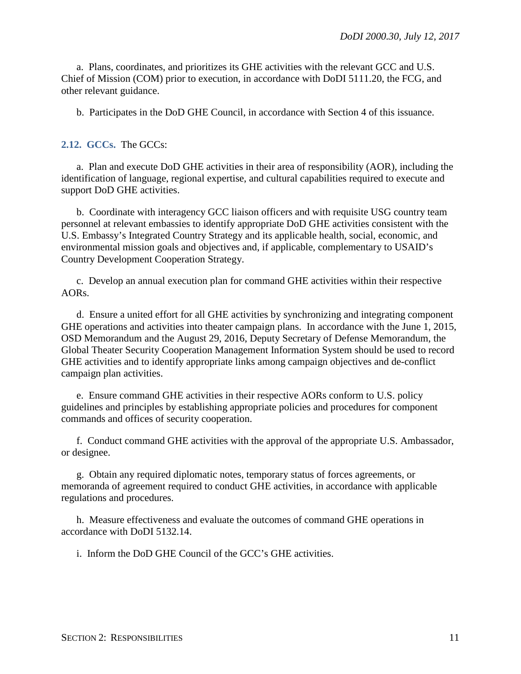a. Plans, coordinates, and prioritizes its GHE activities with the relevant GCC and U.S. Chief of Mission (COM) prior to execution, in accordance with DoDI 5111.20, the FCG, and other relevant guidance.

b. Participates in the DoD GHE Council, in accordance with Section 4 of this issuance.

#### <span id="page-10-0"></span>**2.12. GCCs.** The GCCs:

a. Plan and execute DoD GHE activities in their area of responsibility (AOR), including the identification of language, regional expertise, and cultural capabilities required to execute and support DoD GHE activities.

b. Coordinate with interagency GCC liaison officers and with requisite USG country team personnel at relevant embassies to identify appropriate DoD GHE activities consistent with the U.S. Embassy's Integrated Country Strategy and its applicable health, social, economic, and environmental mission goals and objectives and, if applicable, complementary to USAID's Country Development Cooperation Strategy.

c. Develop an annual execution plan for command GHE activities within their respective AORs.

d. Ensure a united effort for all GHE activities by synchronizing and integrating component GHE operations and activities into theater campaign plans. In accordance with the June 1, 2015, OSD Memorandum and the August 29, 2016, Deputy Secretary of Defense Memorandum, the Global Theater Security Cooperation Management Information System should be used to record GHE activities and to identify appropriate links among campaign objectives and de-conflict campaign plan activities.

e. Ensure command GHE activities in their respective AORs conform to U.S. policy guidelines and principles by establishing appropriate policies and procedures for component commands and offices of security cooperation.

f. Conduct command GHE activities with the approval of the appropriate U.S. Ambassador, or designee.

g. Obtain any required diplomatic notes, temporary status of forces agreements, or memoranda of agreement required to conduct GHE activities, in accordance with applicable regulations and procedures.

h. Measure effectiveness and evaluate the outcomes of command GHE operations in accordance with DoDI 5132.14.

i. Inform the DoD GHE Council of the GCC's GHE activities.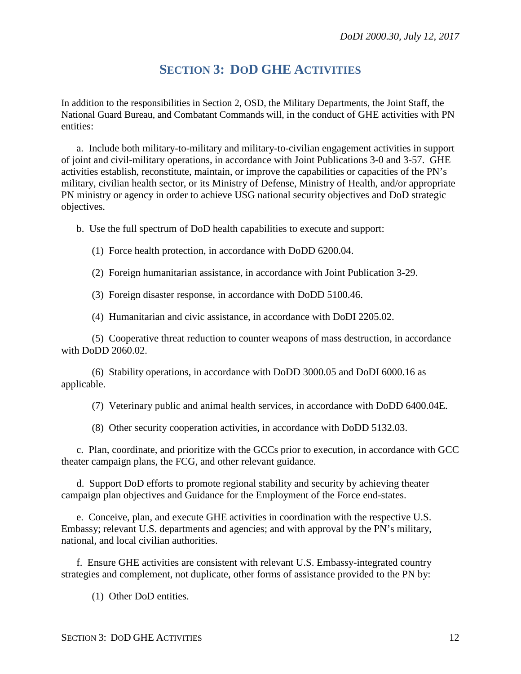## **SECTION 3: DOD GHE ACTIVITIES**

<span id="page-11-0"></span>In addition to the responsibilities in Section 2, OSD, the Military Departments, the Joint Staff, the National Guard Bureau, and Combatant Commands will, in the conduct of GHE activities with PN entities:

a. Include both military-to-military and military-to-civilian engagement activities in support of joint and civil-military operations, in accordance with Joint Publications 3-0 and 3-57. GHE activities establish, reconstitute, maintain, or improve the capabilities or capacities of the PN's military, civilian health sector, or its Ministry of Defense, Ministry of Health, and/or appropriate PN ministry or agency in order to achieve USG national security objectives and DoD strategic objectives.

b. Use the full spectrum of DoD health capabilities to execute and support:

(1) Force health protection, in accordance with DoDD 6200.04.

(2) Foreign humanitarian assistance, in accordance with Joint Publication 3-29.

(3) Foreign disaster response, in accordance with DoDD 5100.46.

(4) Humanitarian and civic assistance, in accordance with DoDI 2205.02.

(5) Cooperative threat reduction to counter weapons of mass destruction, in accordance with DoDD 2060.02.

(6) Stability operations, in accordance with DoDD 3000.05 and DoDI 6000.16 as applicable.

(7) Veterinary public and animal health services, in accordance with DoDD 6400.04E.

(8) Other security cooperation activities, in accordance with DoDD 5132.03.

c. Plan, coordinate, and prioritize with the GCCs prior to execution, in accordance with GCC theater campaign plans, the FCG, and other relevant guidance.

d. Support DoD efforts to promote regional stability and security by achieving theater campaign plan objectives and Guidance for the Employment of the Force end-states.

e. Conceive, plan, and execute GHE activities in coordination with the respective U.S. Embassy; relevant U.S. departments and agencies; and with approval by the PN's military, national, and local civilian authorities.

f. Ensure GHE activities are consistent with relevant U.S. Embassy-integrated country strategies and complement, not duplicate, other forms of assistance provided to the PN by:

(1) Other DoD entities.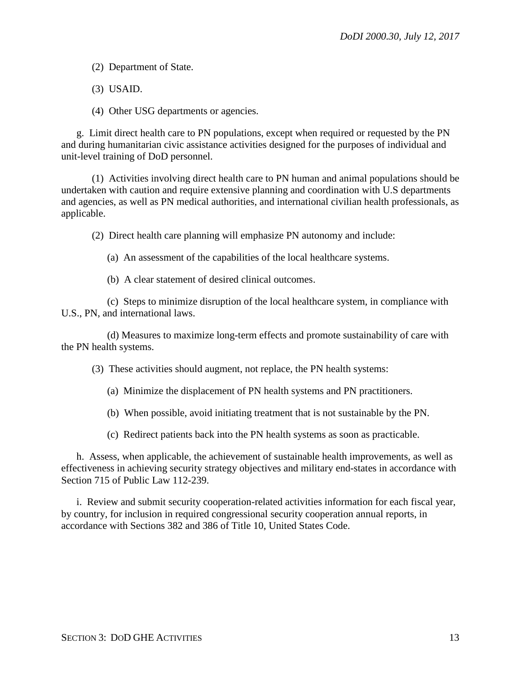(2) Department of State.

(3) USAID.

(4) Other USG departments or agencies.

g. Limit direct health care to PN populations, except when required or requested by the PN and during humanitarian civic assistance activities designed for the purposes of individual and unit-level training of DoD personnel.

(1) Activities involving direct health care to PN human and animal populations should be undertaken with caution and require extensive planning and coordination with U.S departments and agencies, as well as PN medical authorities, and international civilian health professionals, as applicable.

(2) Direct health care planning will emphasize PN autonomy and include:

(a) An assessment of the capabilities of the local healthcare systems.

(b) A clear statement of desired clinical outcomes.

(c) Steps to minimize disruption of the local healthcare system, in compliance with U.S., PN, and international laws.

(d) Measures to maximize long-term effects and promote sustainability of care with the PN health systems.

(3) These activities should augment, not replace, the PN health systems:

- (a) Minimize the displacement of PN health systems and PN practitioners.
- (b) When possible, avoid initiating treatment that is not sustainable by the PN.
- (c) Redirect patients back into the PN health systems as soon as practicable.

h. Assess, when applicable, the achievement of sustainable health improvements, as well as effectiveness in achieving security strategy objectives and military end-states in accordance with Section 715 of Public Law 112-239.

i. Review and submit security cooperation-related activities information for each fiscal year, by country, for inclusion in required congressional security cooperation annual reports, in accordance with Sections 382 and 386 of Title 10, United States Code.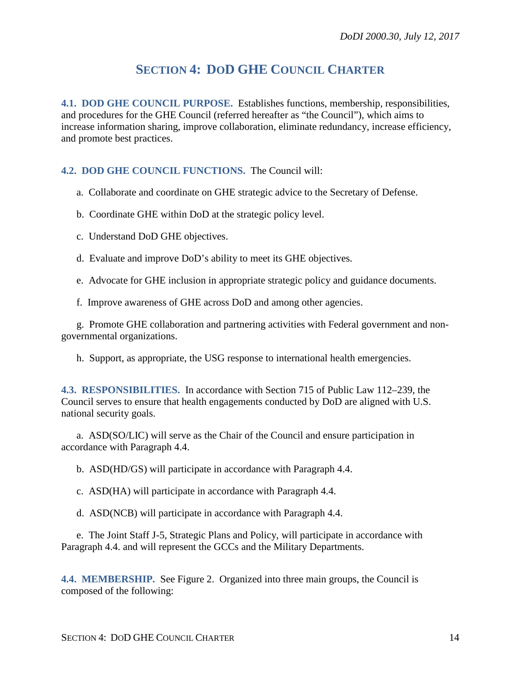# **SECTION 4: DOD GHE COUNCIL CHARTER**

<span id="page-13-1"></span><span id="page-13-0"></span>**4.1. DOD GHE COUNCIL PURPOSE.** Establishes functions, membership, responsibilities, and procedures for the GHE Council (referred hereafter as "the Council"), which aims to increase information sharing, improve collaboration, eliminate redundancy, increase efficiency, and promote best practices.

### <span id="page-13-2"></span>**4.2. DOD GHE COUNCIL FUNCTIONS.** The Council will:

a. Collaborate and coordinate on GHE strategic advice to the Secretary of Defense.

b. Coordinate GHE within DoD at the strategic policy level.

- c. Understand DoD GHE objectives.
- d. Evaluate and improve DoD's ability to meet its GHE objectives.
- e. Advocate for GHE inclusion in appropriate strategic policy and guidance documents.
- f. Improve awareness of GHE across DoD and among other agencies.

g. Promote GHE collaboration and partnering activities with Federal government and nongovernmental organizations.

h. Support, as appropriate, the USG response to international health emergencies.

<span id="page-13-3"></span>**4.3. RESPONSIBILITIES.** In accordance with Section 715 of Public Law 112–239, the Council serves to ensure that health engagements conducted by DoD are aligned with U.S. national security goals.

a. ASD(SO/LIC) will serve as the Chair of the Council and ensure participation in accordance with Paragraph 4.4.

b. ASD(HD/GS) will participate in accordance with Paragraph 4.4.

c. ASD(HA) will participate in accordance with Paragraph 4.4.

d. ASD(NCB) will participate in accordance with Paragraph 4.4.

e. The Joint Staff J-5, Strategic Plans and Policy, will participate in accordance with Paragraph 4.4. and will represent the GCCs and the Military Departments.

<span id="page-13-4"></span>**4.4. MEMBERSHIP.** See Figure 2. Organized into three main groups, the Council is composed of the following: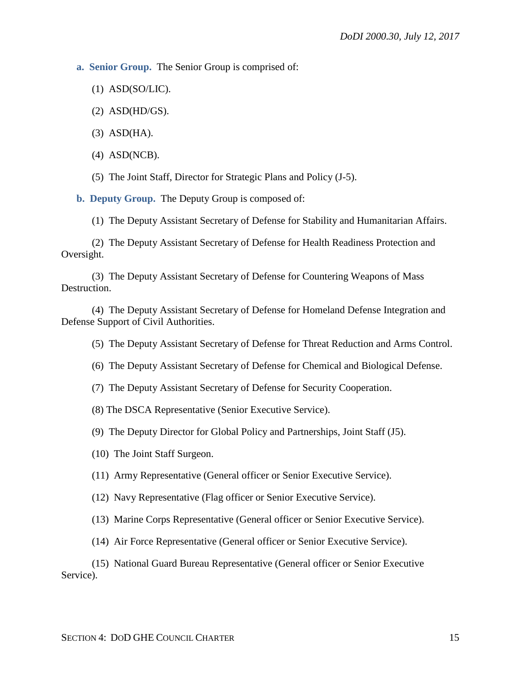<span id="page-14-0"></span>**a. Senior Group.** The Senior Group is comprised of:

- (1) ASD(SO/LIC).
- (2) ASD(HD/GS).
- (3) ASD(HA).
- (4) ASD(NCB).

(5) The Joint Staff, Director for Strategic Plans and Policy (J-5).

<span id="page-14-1"></span>**b. Deputy Group.** The Deputy Group is composed of:

(1) The Deputy Assistant Secretary of Defense for Stability and Humanitarian Affairs.

(2) The Deputy Assistant Secretary of Defense for Health Readiness Protection and Oversight.

(3) The Deputy Assistant Secretary of Defense for Countering Weapons of Mass Destruction.

(4) The Deputy Assistant Secretary of Defense for Homeland Defense Integration and Defense Support of Civil Authorities.

(5) The Deputy Assistant Secretary of Defense for Threat Reduction and Arms Control.

(6) The Deputy Assistant Secretary of Defense for Chemical and Biological Defense.

- (7) The Deputy Assistant Secretary of Defense for Security Cooperation.
- (8) The DSCA Representative (Senior Executive Service).

(9) The Deputy Director for Global Policy and Partnerships, Joint Staff (J5).

(10) The Joint Staff Surgeon.

(11) Army Representative (General officer or Senior Executive Service).

(12) Navy Representative (Flag officer or Senior Executive Service).

(13) Marine Corps Representative (General officer or Senior Executive Service).

(14) Air Force Representative (General officer or Senior Executive Service).

(15) National Guard Bureau Representative (General officer or Senior Executive Service).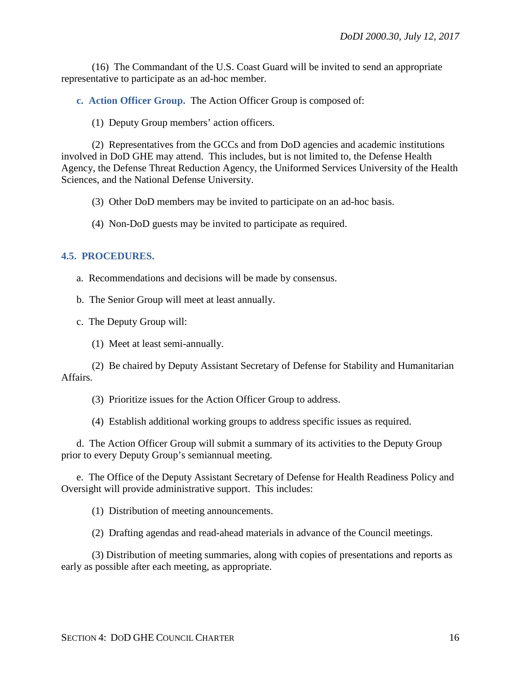(16) The Commandant of the U.S. Coast Guard will be invited to send an appropriate representative to participate as an ad-hoc member.

<span id="page-15-0"></span>**c. Action Officer Group.** The Action Officer Group is composed of:

(1) Deputy Group members' action officers.

(2) Representatives from the GCCs and from DoD agencies and academic institutions involved in DoD GHE may attend. This includes, but is not limited to, the Defense Health Agency, the Defense Threat Reduction Agency, the Uniformed Services University of the Health Sciences, and the National Defense University.

(3) Other DoD members may be invited to participate on an ad-hoc basis.

(4) Non-DoD guests may be invited to participate as required.

#### <span id="page-15-1"></span>**4.5. PROCEDURES.**

a. Recommendations and decisions will be made by consensus.

b. The Senior Group will meet at least annually.

c. The Deputy Group will:

(1) Meet at least semi-annually.

(2) Be chaired by Deputy Assistant Secretary of Defense for Stability and Humanitarian Affairs.

(3) Prioritize issues for the Action Officer Group to address.

(4) Establish additional working groups to address specific issues as required.

d. The Action Officer Group will submit a summary of its activities to the Deputy Group prior to every Deputy Group's semiannual meeting.

e. The Office of the Deputy Assistant Secretary of Defense for Health Readiness Policy and Oversight will provide administrative support. This includes:

(1) Distribution of meeting announcements.

(2) Drafting agendas and read-ahead materials in advance of the Council meetings.

(3) Distribution of meeting summaries, along with copies of presentations and reports as early as possible after each meeting, as appropriate.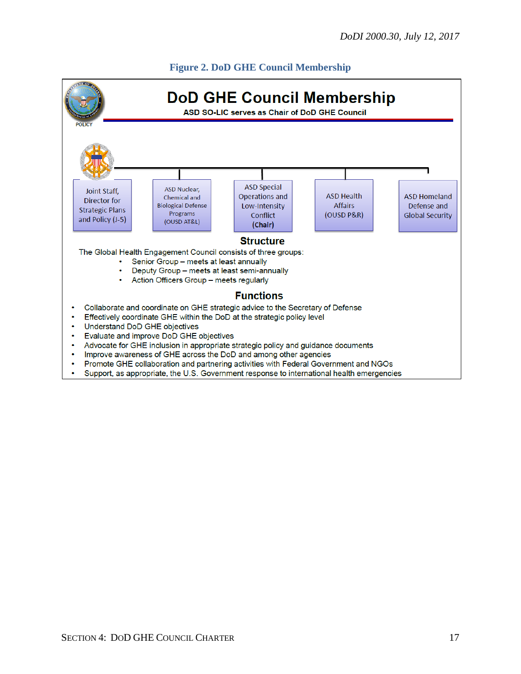

#### **Figure 2. DoD GHE Council Membership**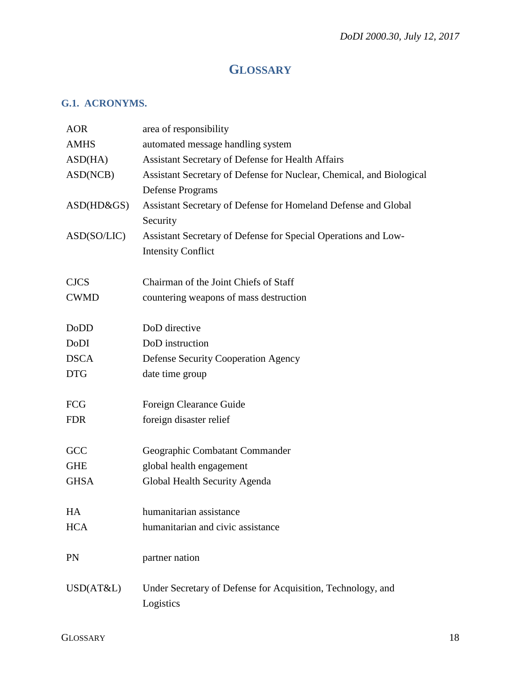## **GLOSSARY**

### <span id="page-17-1"></span><span id="page-17-0"></span>**G.1. ACRONYMS.**

| <b>AOR</b>    | area of responsibility                                               |
|---------------|----------------------------------------------------------------------|
| <b>AMHS</b>   | automated message handling system                                    |
| ASD(HA)       | Assistant Secretary of Defense for Health Affairs                    |
| ASD(NCB)      | Assistant Secretary of Defense for Nuclear, Chemical, and Biological |
|               | <b>Defense Programs</b>                                              |
| $ASD(HD\&GS)$ | Assistant Secretary of Defense for Homeland Defense and Global       |
|               | Security                                                             |
| ASD(SO/LIC)   | Assistant Secretary of Defense for Special Operations and Low-       |
|               | <b>Intensity Conflict</b>                                            |
|               |                                                                      |
| <b>CJCS</b>   | Chairman of the Joint Chiefs of Staff                                |
| <b>CWMD</b>   | countering weapons of mass destruction                               |
|               |                                                                      |
| <b>DoDD</b>   | DoD directive                                                        |
| <b>DoDI</b>   | DoD instruction                                                      |
| <b>DSCA</b>   | <b>Defense Security Cooperation Agency</b>                           |
| <b>DTG</b>    | date time group                                                      |
|               |                                                                      |
| <b>FCG</b>    | Foreign Clearance Guide                                              |
| <b>FDR</b>    | foreign disaster relief                                              |
| GCC           | Geographic Combatant Commander                                       |
| <b>GHE</b>    | global health engagement                                             |
| <b>GHSA</b>   | Global Health Security Agenda                                        |
|               |                                                                      |
| HA            | humanitarian assistance                                              |
| <b>HCA</b>    | humanitarian and civic assistance                                    |
|               |                                                                      |
| <b>PN</b>     | partner nation                                                       |
|               |                                                                      |
| USD(AT&L)     | Under Secretary of Defense for Acquisition, Technology, and          |
|               | Logistics                                                            |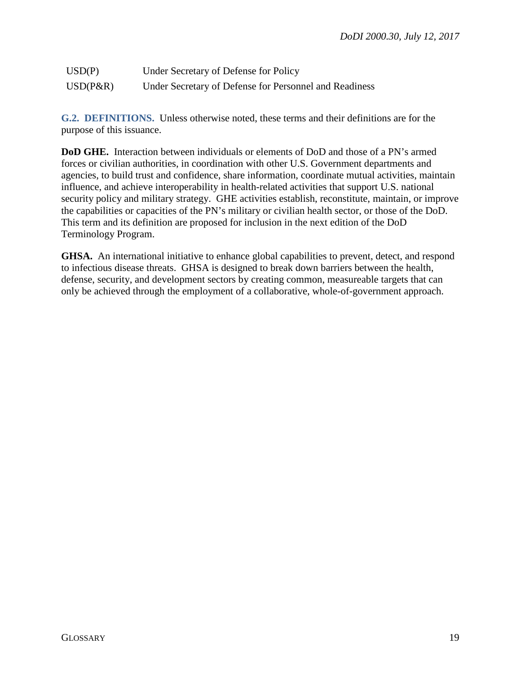| USD(P)      | Under Secretary of Defense for Policy                  |
|-------------|--------------------------------------------------------|
| $USD(P\&R)$ | Under Secretary of Defense for Personnel and Readiness |

<span id="page-18-0"></span>**G.2. DEFINITIONS.** Unless otherwise noted, these terms and their definitions are for the purpose of this issuance.

**DoD GHE.** Interaction between individuals or elements of DoD and those of a PN's armed forces or civilian authorities, in coordination with other U.S. Government departments and agencies, to build trust and confidence, share information, coordinate mutual activities, maintain influence, and achieve interoperability in health-related activities that support U.S. national security policy and military strategy. GHE activities establish, reconstitute, maintain, or improve the capabilities or capacities of the PN's military or civilian health sector, or those of the DoD. This term and its definition are proposed for inclusion in the next edition of the DoD Terminology Program.

**GHSA.** An international initiative to enhance global capabilities to prevent, detect, and respond to infectious disease threats. GHSA is designed to break down barriers between the health, defense, security, and development sectors by creating common, measureable targets that can only be achieved through the employment of a collaborative, whole-of-government approach.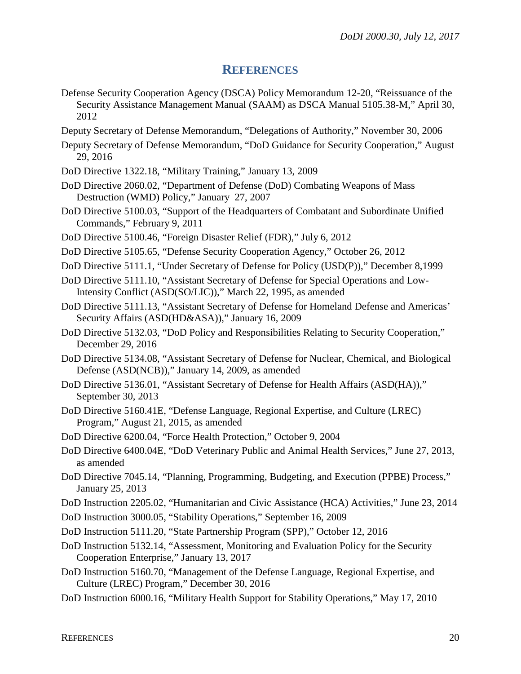#### **REFERENCES**

- <span id="page-19-0"></span>Defense Security Cooperation Agency (DSCA) Policy Memorandum 12-20, "Reissuance of the Security Assistance Management Manual (SAAM) as DSCA Manual 5105.38-M," April 30, 2012
- Deputy Secretary of Defense Memorandum, "Delegations of Authority," November 30, 2006
- Deputy Secretary of Defense Memorandum, "DoD Guidance for Security Cooperation," August 29, 2016
- DoD Directive 1322.18, "Military Training," January 13, 2009
- DoD Directive 2060.02, "Department of Defense (DoD) Combating Weapons of Mass Destruction (WMD) Policy," January 27, 2007
- DoD Directive 5100.03, "Support of the Headquarters of Combatant and Subordinate Unified Commands," February 9, 2011
- DoD Directive 5100.46, "Foreign Disaster Relief (FDR)," July 6, 2012
- DoD Directive 5105.65, "Defense Security Cooperation Agency," October 26, 2012
- DoD Directive 5111.1, "Under Secretary of Defense for Policy (USD(P))," December 8,1999
- DoD Directive 5111.10, "Assistant Secretary of Defense for Special Operations and Low-Intensity Conflict (ASD(SO/LIC))," March 22, 1995, as amended
- DoD Directive 5111.13, "Assistant Secretary of Defense for Homeland Defense and Americas' Security Affairs (ASD(HD&ASA))," January 16, 2009
- DoD Directive 5132.03, "DoD Policy and Responsibilities Relating to Security Cooperation," December 29, 2016
- DoD Directive 5134.08, "Assistant Secretary of Defense for Nuclear, Chemical, and Biological Defense (ASD(NCB))," January 14, 2009, as amended
- DoD Directive 5136.01, "Assistant Secretary of Defense for Health Affairs (ASD(HA))," September 30, 2013
- DoD Directive 5160.41E, "Defense Language, Regional Expertise, and Culture (LREC) Program," August 21, 2015, as amended
- DoD Directive 6200.04, "Force Health Protection," October 9, 2004
- DoD Directive 6400.04E, "DoD Veterinary Public and Animal Health Services," June 27, 2013, as amended
- DoD Directive 7045.14, "Planning, Programming, Budgeting, and Execution (PPBE) Process," January 25, 2013
- DoD Instruction 2205.02, "Humanitarian and Civic Assistance (HCA) Activities," June 23, 2014
- DoD Instruction 3000.05, "Stability Operations," September 16, 2009
- DoD Instruction 5111.20, "State Partnership Program (SPP)," October 12, 2016
- DoD Instruction 5132.14, "Assessment, Monitoring and Evaluation Policy for the Security Cooperation Enterprise," January 13, 2017
- DoD Instruction 5160.70, "Management of the Defense Language, Regional Expertise, and Culture (LREC) Program," December 30, 2016
- DoD Instruction 6000.16, "Military Health Support for Stability Operations," May 17, 2010